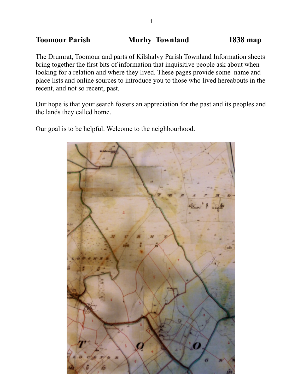# **Toomour Parish Murhy Townland 1838 map**

The Drumrat, Toomour and parts of Kilshalvy Parish Townland Information sheets bring together the first bits of information that inquisitive people ask about when looking for a relation and where they lived. These pages provide some name and place lists and online sources to introduce you to those who lived hereabouts in the recent, and not so recent, past.

Our hope is that your search fosters an appreciation for the past and its peoples and the lands they called home.

Our goal is to be helpful. Welcome to the neighbourhood.

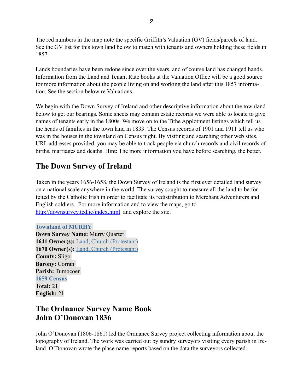The red numbers in the map note the specific Griffith's Valuation (GV) fields/parcels of land. See the GV list for this town land below to match with tenants and owners holding these fields in 1857.

Lands boundaries have been redone since over the years, and of course land has changed hands. Information from the Land and Tenant Rate books at the Valuation Office will be a good source for more information about the people living on and working the land after this 1857 information. See the section below re Valuations.

We begin with the Down Survey of Ireland and other descriptive information about the townland below to get our bearings. Some sheets may contain estate records we were able to locate to give names of tenants early in the 1800s. We move on to the Tithe Applotment listings which tell us the heads of families in the town land in 1833. The Census records of 1901 and 1911 tell us who was in the houses in the townland on Census night. By visiting and searching other web sites, URL addresses provided, you may be able to track people via church records and civil records of births, marriages and deaths. Hint: The more information you have before searching, the better.

# **The Down Survey of Ireland**

Taken in the years 1656-1658, the Down Survey of Ireland is the first ever detailed land survey on a national scale anywhere in the world. The survey sought to measure all the land to be forfeited by the Catholic Irish in order to facilitate its redistribution to Merchant Adventurers and English soldiers. For more information and to view the maps, go to <http://downsurvey.tcd.ie/index.html>and explore the site.

**Townland of MURHY Down Survey Name:** Murry Quarter **1641 Owner(s):** [Land, Church \(Protestant\)](http://downsurvey.tcd.ie/landowners.php#l1=Land,%20Church) **1670 Owner(s):** [Land, Church \(Protestant\)](http://downsurvey.tcd.ie/landowners.php#l4=Land,%20Church) **County:** Sligo **Barony:** Corran **Parish:** Tumocoer **1659 Census Total:** 21 **English:** 21

# **The Ordnance Survey Name Book John O'Donovan 1836**

John O'Donovan (1806-1861) led the Ordnance Survey project collecting information about the topography of Ireland. The work was carried out by sundry surveyors visiting every parish in Ireland. O'Donovan wrote the place name reports based on the data the surveyors collected.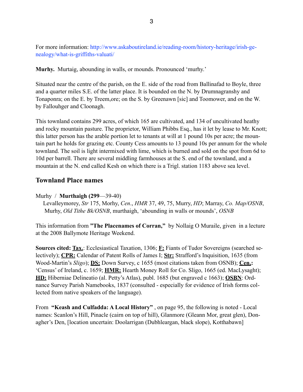For more information: http://www.askaboutireland.ie/reading-room/history-heritage/irish-genealogy/what-is-griffiths-valuati/

**Murhy.** Murtaig, abounding in walls, or mounds. Pronounced 'murhy.'

Situated near the centre of the parish, on the E. side of the road from Ballinafad to Boyle, three and a quarter miles S.E. of the latter place. It is bounded on the N. by Drumnagranshy and Tonaponra; on the E. by Treem,ore; on the S. by Greenawn [sic] and Toomower, and on the W. by Fallouhger and Cloonagh.

This townland contains 299 acres, of which 165 are cultivated, and 134 of uncultivated heathy and rocky mountain pasture. The proprietor, William Phibbs Esq., has it let by lease to Mr. Knott; this latter person has the arable portion let to tenants at will at 1 pound 10s per acre; the mountain part he holds for grazing etc. County Cess amounts to 13 pound 10s per annum for the whole townland. The soil is light intermixed with lime, which is burned and sold on the spot from 6d to 10d per barrell. There are several middling farmhouses at the S. end of the townland, and a mountain at the N. end called Kesh on which there is a Trigl. station 1183 above sea level.

## **Townland Place names**

Murhy / **Murthaigh (299**—39-40)

 Levalleymorey, *Str* 175, Morhy, *Cen*., *HMR* 37, 49, 75, Murry, *HD*; Marray, *Co. Map/OSNB*, Murhy, *Old Tithe Bk/OSNB*, murthaigh, 'abounding in walls or mounds', *OSNB*

This information from **"The Placenames of Corran,"** by Nollaig O Muraile, given in a lecture at the 2008 Ballymote Heritage Weekend.

**Sources cited: Tax.**: Ecclesiastical Taxation, 1306; **F:** Fiants of Tudor Sovereigns (searched selectively); **CPR:** Calendar of Patent Rolls of James I; **Str:** Strafford's Inquisition, 1635 (from Wood-Martin's *Sligo*); **DS:** Down Survey, c 1655 (most citations taken from OSNB); **Cen.:** 'Census' of Ireland, c. 1659; **HMR:** Hearth Money Roll for Co. Sligo, 1665 (ed. MacLysaght); **HD:** Hiberniae Delineatio (al. Petty's Atlas), publ. 1685 (but engraved c 1663); **OSBN**: Ordnance Survey Parish Namebooks, 1837 (consulted - especially for evidence of Irish forms collected from native speakers of the language).

From **"Keash and Culfadda: A Local History"** , on page 95, the following is noted - Local names: Scanlon's Hill, Pinacle (cairn on top of hill), Glanmore (Gleann Mor, great glen), Donagher's Den, [location uncertain: Doolarrigan (Dubhleargan, black slope), Kotthabawn]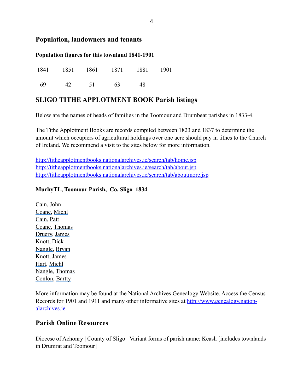### **Population, landowners and tenants**

### **Population figures for this townland 1841-1901**

|      |       | 1841 1851 1861 1871 1881 1901 |    |  |
|------|-------|-------------------------------|----|--|
| - 69 | 42 51 | 63                            | 48 |  |

## **SLIGO TITHE APPLOTMENT BOOK Parish listings**

Below are the names of heads of families in the Toomour and Drumbeat parishes in 1833-4.

The Tithe Applotment Books are records compiled between 1823 and 1837 to determine the amount which occupiers of agricultural holdings over one acre should pay in tithes to the Church of Ireland. We recommend a visit to the sites below for more information.

<http://titheapplotmentbooks.nationalarchives.ie/search/tab/home.jsp> <http://titheapplotmentbooks.nationalarchives.ie/search/tab/about.jsp> <http://titheapplotmentbooks.nationalarchives.ie/search/tab/aboutmore.jsp>

### **MurhyTL, Toomour Parish, Co. Sligo 1834**

[Cain,](http://titheapplotmentbooks.nationalarchives.ie/reels/tab//004625727/004625727_00075.pdf) [John](http://titheapplotmentbooks.nationalarchives.ie/reels/tab//004625727/004625727_00075.pdf) [Coane,](http://titheapplotmentbooks.nationalarchives.ie/reels/tab//004625727/004625727_00075.pdf) [Michl](http://titheapplotmentbooks.nationalarchives.ie/reels/tab//004625727/004625727_00075.pdf) [Cain,](http://titheapplotmentbooks.nationalarchives.ie/reels/tab//004625727/004625727_00075.pdf) [Patt](http://titheapplotmentbooks.nationalarchives.ie/reels/tab//004625727/004625727_00075.pdf) [Coane,](http://titheapplotmentbooks.nationalarchives.ie/reels/tab//004625727/004625727_00075.pdf) [Thomas](http://titheapplotmentbooks.nationalarchives.ie/reels/tab//004625727/004625727_00075.pdf) [Druery, James](http://titheapplotmentbooks.nationalarchives.ie/reels/tab//004625727/004625727_00075.pdf)  [Knott](http://titheapplotmentbooks.nationalarchives.ie/reels/tab//004625727/004625727_00075.pdf), [Dick](http://titheapplotmentbooks.nationalarchives.ie/reels/tab//004625727/004625727_00075.pdf)  [Nangle,](http://titheapplotmentbooks.nationalarchives.ie/reels/tab//004625727/004625727_00076.pdf) [Bryan](http://titheapplotmentbooks.nationalarchives.ie/reels/tab//004625727/004625727_00076.pdf)  [Knott](http://titheapplotmentbooks.nationalarchives.ie/reels/tab//004625727/004625727_00076.pdf), [James](http://titheapplotmentbooks.nationalarchives.ie/reels/tab//004625727/004625727_00076.pdf) [Hart](http://titheapplotmentbooks.nationalarchives.ie/reels/tab//004625727/004625727_00076.pdf), [Michl](http://titheapplotmentbooks.nationalarchives.ie/reels/tab//004625727/004625727_00076.pdf) [Nangle,](http://titheapplotmentbooks.nationalarchives.ie/reels/tab//004625727/004625727_00076.pdf) [Thomas](http://titheapplotmentbooks.nationalarchives.ie/reels/tab//004625727/004625727_00076.pdf) [Conlon](http://titheapplotmentbooks.nationalarchives.ie/reels/tab//004625727/004625727_00076.pdf), [Bartty](http://titheapplotmentbooks.nationalarchives.ie/reels/tab//004625727/004625727_00076.pdf)

More information may be found at the National Archives Genealogy Website. Access the Census [Records for 1901 and 1911 and many other informative sites at http://www.genealogy.nation](http://www.genealogy.nationalarchives.ie)alarchives.ie

### **Parish Online Resources**

Diocese of Achonry | County of Sligo Variant forms of parish name: Keash [includes townlands] in Drumrat and Toomour]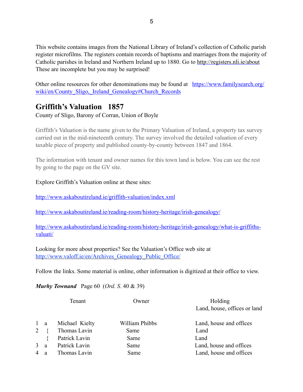This website contains images from the National Library of Ireland's collection of Catholic parish register microfilms. The registers contain records of baptisms and marriages from the majority of Catholic parishes in Ireland and Northern Ireland up to 1880. Go to<http://registers.nli.ie/about> These are incomplete but you may be surprised!

[Other online resources for other denominations may be found at https://www.familysearch.org/](https://www.familysearch.org/wiki/en/County_Sligo,_Ireland_Genealogy#Church_Records) wiki/en/County Sligo, Ireland Genealogy#Church Records

# **Griffith's Valuation 1857**

County of Sligo, Barony of Corran, Union of Boyle

Griffith's Valuation is the name given to the Primary Valuation of Ireland, a property tax survey carried out in the mid-nineteenth century. The survey involved the detailed valuation of every taxable piece of property and published county-by-county between 1847 and 1864.

The information with tenant and owner names for this town land is below. You can see the rest by going to the page on the GV site.

### Explore Griffith's Valuation online at these sites:

<http://www.askaboutireland.ie/griffith-valuation/index.xml>

<http://www.askaboutireland.ie/reading-room/history-heritage/irish-genealogy/>

[http://www.askaboutireland.ie/reading-room/history-heritage/irish-genealogy/what-is-griffiths](http://www.askaboutireland.ie/reading-room/history-heritage/irish-genealogy/what-is-griffiths-valuati/)valuati/

Looking for more about properties? See the Valuation's Office web site at http://www.valoff.ie/en/Archives Genealogy Public Office/

Follow the links. Some material is online, other information is digitized at their office to view.

*Murhy Townand* Page 60 (*Ord. S*. 40 & 39)

|   |             | Tenant         | Owner          | Holding                      |
|---|-------------|----------------|----------------|------------------------------|
|   |             |                |                | Land, house, offices or land |
|   | $1 \quad a$ | Michael Kielty | William Phibbs | Land, house and offices      |
| 2 |             | Thomas Lavin   | Same           | Land                         |
|   |             | Patrick Lavin  | Same           | Land                         |
|   | 3 a         | Patrick Lavin  | Same           | Land, house and offices      |
|   | 4 a         | Thomas Lavin   | Same           | Land, house and offices      |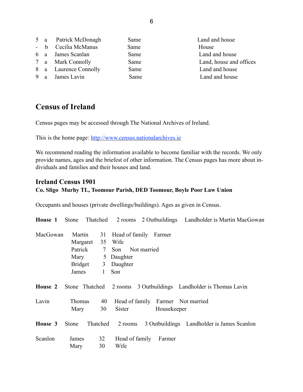|  | 5 a Patrick McDonagh  | Same | Land and house          |
|--|-----------------------|------|-------------------------|
|  | - b Cecilia McManus   | Same | House                   |
|  | 6 a James Scanlan     | Same | Land and house          |
|  | 7 a Mark Connolly     | Same | Land, house and offices |
|  | 8 a Laurence Connolly | Same | Land and house          |
|  | 9 a James Lavin       | Same | Land and house          |
|  |                       |      |                         |

# **Census of Ireland**

Census pages may be accessed through The National Archives of Ireland.

This is the home page: <http://www.census.nationalarchives.ie>

We recommend reading the information available to become familiar with the records. We only provide names, ages and the briefest of other information. The Census pages has more about individuals and families and their houses and land.

## **Ireland Census 1901 Co. Sligo Murhy TL, Toomour Parish, DED Toomour, Boyle Poor Law Union**

Occupants and houses (private dwellings/buildings). Ages as given in Census.

| House 1  | Stone                                     |                                                      |                                                |                                                  | Thatched 2 rooms 2 Outbuildings Landholder is Martin MacGowan    |
|----------|-------------------------------------------|------------------------------------------------------|------------------------------------------------|--------------------------------------------------|------------------------------------------------------------------|
| MacGowan | Martin<br>Mary<br><b>Bridget</b><br>James | 31<br>Margaret 35<br>Patrick<br>$7\overline{ }$<br>1 | Wife<br>Son<br>5 Daughter<br>3 Daughter<br>Son | Head of family Farmer<br>Not married             |                                                                  |
| House 2  |                                           |                                                      |                                                |                                                  | Stone Thatched 2 rooms 3 Outbuildings Landholder is Thomas Lavin |
| Lavin    | Thomas<br>Mary                            | 40<br>30                                             | Sister                                         | Head of family Farmer Not married<br>Housekeeper |                                                                  |
| House 3  | Stone                                     | Thatched                                             | 2 rooms                                        |                                                  | 3 Outbuildings Landholder is James Scanlon                       |
| Scanlon  | James<br>Mary                             | 32<br>30                                             | Head of family<br>Wife                         | Farmer                                           |                                                                  |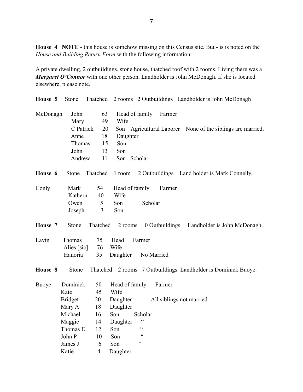**House 4 NOTE** - this house is somehow missing on this Census site. But - is is noted on the *House and Building Return Form* with the following information:

A private dwelling, 2 outbuildings, stone house, thatched roof with 2 rooms. Living there was a *Margaret O'Connor* with one other person. Landholder is John McDonagh. If she is located elsewhere, please note.

| House 5  | Stone          |                | Thatched 2 rooms 2 Outbuildings Landholder is John McDonagh   |
|----------|----------------|----------------|---------------------------------------------------------------|
| McDonagh | John<br>Mary   | 63<br>49       | Head of family<br>Farmer<br>Wife                              |
|          | C Patrick      | 20             | Son Agricultural Laborer None of the siblings are married.    |
|          | Anne           | 18             | Daughter                                                      |
|          | Thomas         | 15             | Son                                                           |
|          | John           | 13             | Son                                                           |
|          | Andrew         | 11             | Son Scholar                                                   |
| House 6  | Stone          | Thatched       | 1 room<br>2 Outbuildings Land holder is Mark Connelly.        |
| Conly    | Mark           | 54             | Head of family<br>Farmer                                      |
|          | Kathern        | 40             | Wife                                                          |
|          | Owen           | $\sqrt{5}$     | Scholar<br>Son                                                |
|          | Joseph         | 3              | Son                                                           |
| House 7  | Stone          | Thatched       | 2 rooms<br>0 Outbuildings<br>Landholder is John McDonagh.     |
| Lavin    | Thomas         | 75             | Farmer<br>Head                                                |
|          | Alies [sic]    | 76             | Wife                                                          |
|          | Hanoria        | 35             | Daughter<br>No Married                                        |
| House 8  | Stone          |                | Thatched 2 rooms 7 Outbuildings Landholder is Dominick Buoye. |
| Buoye    | Dominick       | 50             | Head of family<br>Farmer                                      |
|          | Kate           | 45             | Wife                                                          |
|          | <b>Bridget</b> | 20             | Daughter<br>All siblings not married                          |
|          | Mary A         | 18             | Daughter                                                      |
|          | Michael        | 16             | Son<br>Scholar                                                |
|          | Maggie         | 14             | $\epsilon\,\epsilon$<br>Daughter                              |
|          | Thomas E       | 12             | $\zeta$ $\zeta$<br>Son                                        |
|          | John P         | 10             | $\zeta \zeta$<br>Son                                          |
|          | James J        | 6              | $\zeta$ $\zeta$<br>Son                                        |
|          | Katie          | $\overline{4}$ | Daughter                                                      |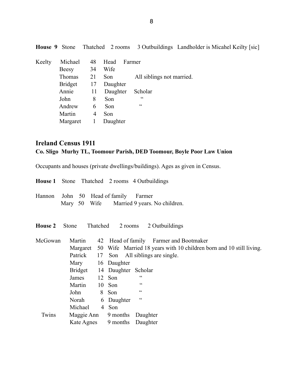| Keelty | Michael        | 48 | Head     | Farmer                    |
|--------|----------------|----|----------|---------------------------|
|        | <b>Beesy</b>   | 34 | Wife     |                           |
|        | Thomas         | 21 | Son      | All siblings not married. |
|        | <b>Bridget</b> | 17 | Daughter |                           |
|        | Annie          | 11 | Daughter | Scholar                   |
|        | John           | 8  | Son      | C                         |
|        | Andrew         | 6  | Son      | C C                       |
|        | Martin         | 4  | Son      |                           |
|        | Margaret       |    | Daughter |                           |

## **House 9** Stone Thatched 2 rooms 3 Outbuildings Landholder is Micahel Keilty [sic]

# **Ireland Census 1911 Co. Sligo Murhy TL, Toomour Parish, DED Toomour, Boyle Poor Law Union**

Occupants and houses (private dwellings/buildings). Ages as given in Census.

|                |                     |  | <b>House 1</b> Stone Thatched 2 rooms 4 Outbuildings                         |
|----------------|---------------------|--|------------------------------------------------------------------------------|
| Hannon         |                     |  | John 50 Head of family Farmer<br>Mary 50 Wife Married 9 years. No children.  |
| <b>House 2</b> | Stone               |  | Thatched<br>2 rooms 2 Outbuildings                                           |
| McGowan        | Martin              |  | 42 Head of family Farmer and Bootmaker                                       |
|                |                     |  | Margaret 50 Wife Married 18 years with 10 children born and 10 still living. |
|                | Patrick             |  | 17 Son All siblings are single.                                              |
|                | Mary 16 Daughter    |  |                                                                              |
|                |                     |  | Bridget 14 Daughter Scholar                                                  |
|                | James               |  | C<br>12 Son                                                                  |
|                | Martin              |  | C C<br>10 Son                                                                |
|                | John                |  | cc<br>8 Son                                                                  |
|                | Norah               |  | cc<br>6 Daughter                                                             |
|                | Michael             |  | 4 Son                                                                        |
| Twins          | Maggie Ann 9 months |  | Daughter                                                                     |
|                | Kate Agnes          |  | 9 months<br>Daughter                                                         |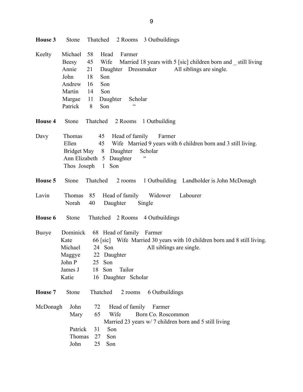| House 3        | <b>Stone</b>                                                               | Thatched<br>2 Rooms 3 Outbuildings                                                                                                                                                                                                                             |
|----------------|----------------------------------------------------------------------------|----------------------------------------------------------------------------------------------------------------------------------------------------------------------------------------------------------------------------------------------------------------|
| Keelty         | Michael<br>Beesy<br>Annie<br>John<br>Andrew<br>Martin<br>Margae<br>Patrick | 58<br>Head<br>Farmer<br>45<br>Wife<br>Married 18 years with 5 [sic] children born and still living<br>21<br>Daughter Dressmaker<br>All siblings are single.<br>18<br>Son<br>Son<br>16<br>14<br>Son<br>11<br>Daughter<br>Scholar<br>$\zeta$ $\zeta$<br>8<br>Son |
| <b>House 4</b> | Stone                                                                      | Thatched 2 Rooms<br>1 Outbuilding                                                                                                                                                                                                                              |
| Davy           | Thomas<br>Ellen<br>Bridget May<br>Thos Joseph                              | Head of family<br>45<br>Farmer<br>45<br>Wife Married 9 years with 6 children born and 3 still living.<br>8<br>Daughter<br>Scholar<br>$\epsilon$<br>Ann Elizabeth 5 Daughter<br>1 Son                                                                           |
| House 5        | Stone                                                                      | Thatched<br>2 rooms<br>1 Outbuilding Landholder is John McDonagh                                                                                                                                                                                               |
| Lavin          | Thomas<br>Norah                                                            | Head of family<br>Labourer<br>85<br>Widower<br>40<br>Daughter<br>Single                                                                                                                                                                                        |
| House 6        | Stone                                                                      | Thatched 2 Rooms 4 Outbuildings                                                                                                                                                                                                                                |
| <b>Buoye</b>   | Dominick<br>Kate<br>Michael<br>Maggye<br>John P<br>James J<br>Katie        | 68 Head of family Farmer<br>66 [sic] Wife Married 30 years with 10 children born and 8 still living.<br>24 Son<br>All siblings are single.<br>22 Daughter<br>25 Son<br>18<br>Son<br>Tailor<br>16 Daughter Scholar                                              |
| House 7        | Stone                                                                      | Thatched<br>2 rooms<br>6 Outbuildings                                                                                                                                                                                                                          |
| McDonagh       | John<br>Mary<br>Patrick<br>Thomas<br>John                                  | Head of family<br>72<br>Farmer<br>65<br>Born Co. Roscommon<br>Wife<br>Married 23 years w/ 7 children born and 5 still living<br>Son<br>31<br>27<br>Son<br>25<br>Son                                                                                            |